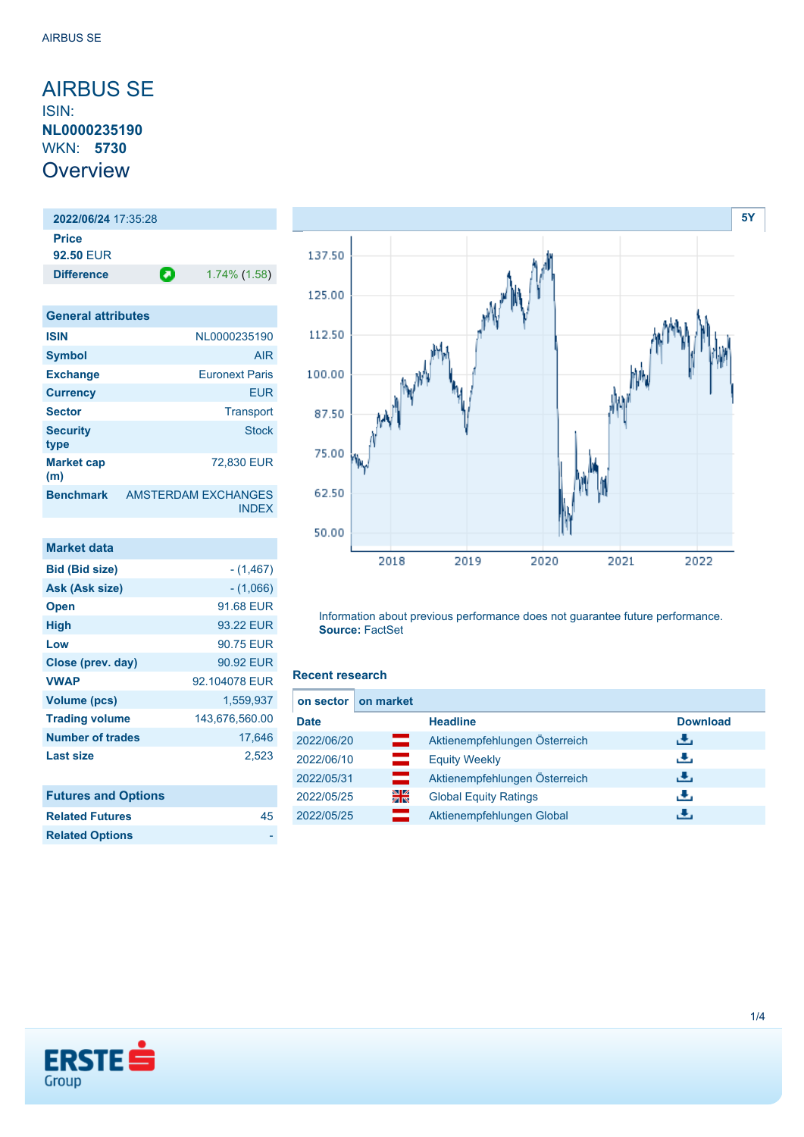### <span id="page-0-0"></span>AIRBUS SE ISIN: **NL0000235190** WKN: **5730 Overview**

**2022/06/24** 17:35:28 **Price 92.50** EUR

**Difference 1.74% (1.58) General attributes ISIN** NL0000235190 **Symbol** AIR **Exchange** Euronext Paris **Currency** EUR

| <b>Sector</b>            | Transport                     |
|--------------------------|-------------------------------|
| <b>Security</b><br>type  | <b>Stock</b>                  |
| <b>Market cap</b><br>(m) | 72,830 EUR                    |
| <b>Benchmark</b>         | AMSTERDAM EXCHANGES<br>INDEX. |

| <b>Market data</b>         |                |
|----------------------------|----------------|
| <b>Bid (Bid size)</b>      | $-(1,467)$     |
| Ask (Ask size)             | $-(1,066)$     |
| <b>Open</b>                | 91.68 EUR      |
| High                       | 93.22 EUR      |
| Low                        | 90.75 EUR      |
| Close (prev. day)          | 90.92 EUR      |
| <b>VWAP</b>                | 92.104078 EUR  |
| Volume (pcs)               | 1,559,937      |
| <b>Trading volume</b>      | 143,676,560.00 |
| <b>Number of trades</b>    | 17.646         |
| <b>Last size</b>           | 2,523          |
|                            |                |
| <b>Futures and Options</b> |                |
| <b>Related Futures</b>     | 45             |



Information about previous performance does not guarantee future performance. **Source:** FactSet

### **Recent research**

| <b>Download</b> |
|-----------------|
|                 |
|                 |
|                 |
|                 |
|                 |
|                 |



**Related Options**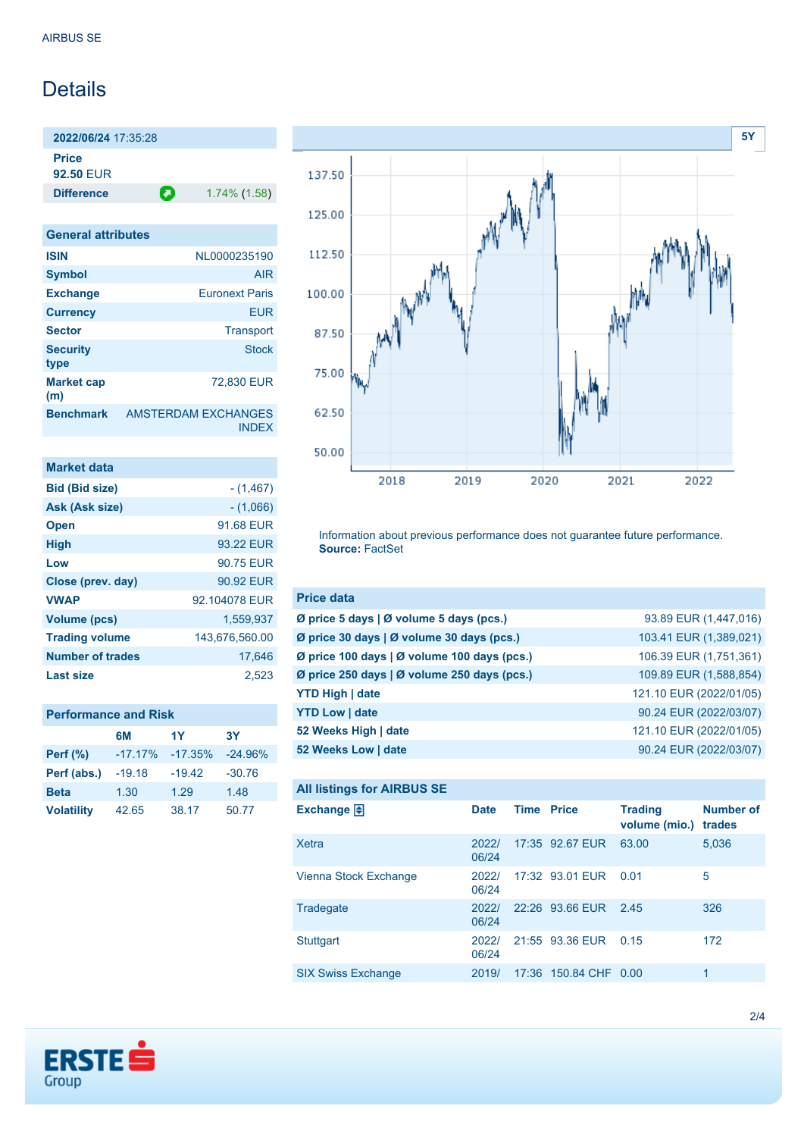# Details

**2022/06/24** 17:35:28 **Price 92.50** EUR

**Difference 1.74% (1.58)** 

**General attributes ISIN** NL0000235190 **Symbol** AIR **Exchange** Euronext Paris **Currency** EUR **Sector** Transport **Security type** Stock **Market cap (m)** 72,830 EUR **Benchmark** AMSTERDAM EXCHANGES INDEX

| <b>Market data</b>      |                |
|-------------------------|----------------|
| <b>Bid (Bid size)</b>   | $-(1,467)$     |
| Ask (Ask size)          | $-(1,066)$     |
| <b>Open</b>             | 91.68 FUR      |
| <b>High</b>             | 93 22 FUR      |
| Low                     | 90.75 FUR      |
| Close (prev. day)       | 90.92 EUR      |
| <b>VWAP</b>             | 92 104078 FUR  |
| Volume (pcs)            | 1.559.937      |
| <b>Trading volume</b>   | 143.676.560.00 |
| <b>Number of trades</b> | 17.646         |
| Last size               | 2.523          |

|                   | 6M         | 1Y        | 3Υ        |
|-------------------|------------|-----------|-----------|
| Perf $(\%)$       | $-17.17\%$ | $-17.35%$ | $-24.96%$ |
| Perf (abs.)       | $-19.18$   | $-19.42$  | $-30.76$  |
| <b>Beta</b>       | 1.30       | 1.29      | 1.48      |
| <b>Volatility</b> | 42.65      | 38.17     | 50.77     |



Information about previous performance does not guarantee future performance. **Source:** FactSet

| <b>Price data</b>                                     |                         |
|-------------------------------------------------------|-------------------------|
| Ø price 5 days $\vert \emptyset$ volume 5 days (pcs.) | 93.89 EUR (1,447,016)   |
| Ø price 30 days   Ø volume 30 days (pcs.)             | 103.41 EUR (1,389,021)  |
| Ø price 100 days   Ø volume 100 days (pcs.)           | 106.39 EUR (1,751,361)  |
| Ø price 250 days   Ø volume 250 days (pcs.)           | 109.89 EUR (1,588,854)  |
| <b>YTD High   date</b>                                | 121.10 EUR (2022/01/05) |
| <b>YTD Low   date</b>                                 | 90.24 EUR (2022/03/07)  |
| 52 Weeks High   date                                  | 121.10 EUR (2022/01/05) |
| 52 Weeks Low   date                                   | 90.24 EUR (2022/03/07)  |

```
All listings for AIRBUS SE
```

| Exchange $\Box$           | <b>Date</b>    | <b>Time Price</b> |                       | <b>Trading</b><br>volume (mio.) | <b>Number of</b><br>trades |
|---------------------------|----------------|-------------------|-----------------------|---------------------------------|----------------------------|
| Xetra                     | 2022/<br>06/24 |                   | 17:35 92.67 EUR       | 63.00                           | 5,036                      |
| Vienna Stock Exchange     | 2022/<br>06/24 |                   | 17:32 93.01 EUR       | 0.01                            | 5                          |
| Tradegate                 | 2022/<br>06/24 |                   | 22:26 93.66 EUR       | 2.45                            | 326                        |
| Stuttgart                 | 2022/<br>06/24 |                   | 21:55 93.36 EUR       | 0.15                            | 172                        |
| <b>SIX Swiss Exchange</b> | 2019/          |                   | 17:36 150.84 CHF 0.00 |                                 | 1.                         |

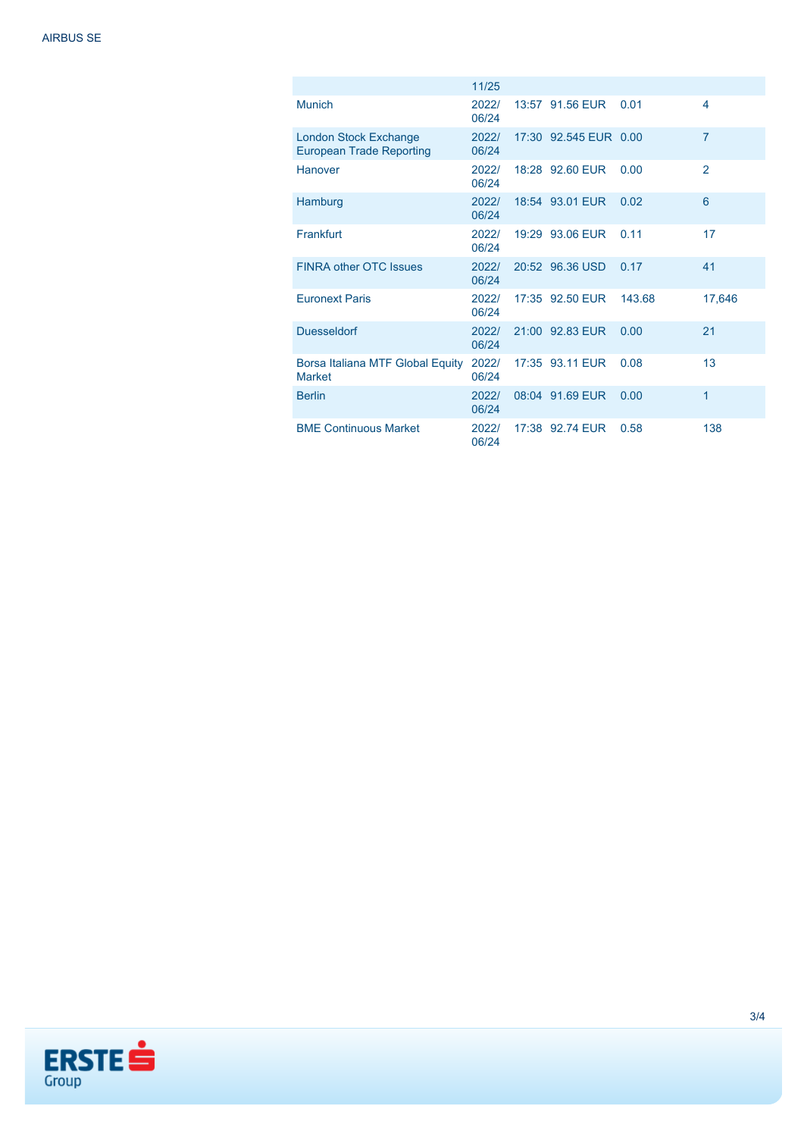|                                                                 | 11/25          |                       |        |                |
|-----------------------------------------------------------------|----------------|-----------------------|--------|----------------|
| <b>Munich</b>                                                   | 2022/<br>06/24 | 13:57 91.56 EUR       | 0.01   | 4              |
| <b>London Stock Exchange</b><br><b>European Trade Reporting</b> | 2022/<br>06/24 | 17:30 92.545 EUR 0.00 |        | $\overline{7}$ |
| <b>Hanover</b>                                                  | 2022/<br>06/24 | 18:28 92.60 EUR       | 0.00   | 2              |
| Hamburg                                                         | 2022/<br>06/24 | 18:54 93.01 EUR       | 0.02   | 6              |
| Frankfurt                                                       | 2022/<br>06/24 | 19:29 93.06 EUR       | 0.11   | 17             |
| <b>FINRA other OTC Issues</b>                                   | 2022/<br>06/24 | 20:52 96.36 USD       | 0.17   | 41             |
| <b>Euronext Paris</b>                                           | 2022/<br>06/24 | 17:35 92.50 EUR       | 143.68 | 17,646         |
| <b>Duesseldorf</b>                                              | 2022/<br>06/24 | 21:00 92.83 EUR       | 0.00   | 21             |
| Borsa Italiana MTF Global Equity<br><b>Market</b>               | 2022/<br>06/24 | 17:35 93.11 EUR       | 0.08   | 13             |
| <b>Berlin</b>                                                   | 2022/<br>06/24 | 08:04 91.69 EUR       | 0.00   | 1              |
| <b>BME Continuous Market</b>                                    | 2022/<br>06/24 | 17:38 92.74 EUR       | 0.58   | 138            |